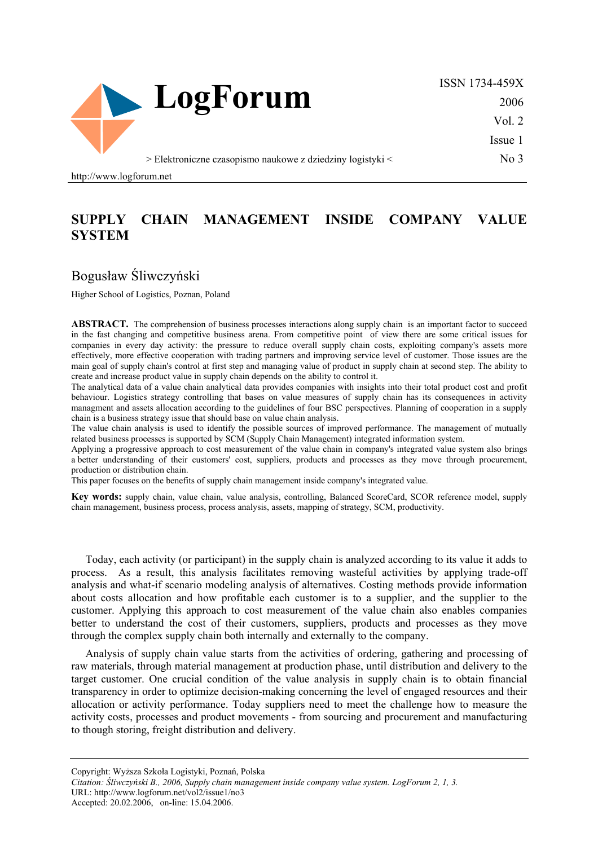

ISSN 1734-459X 2006 Vol. 2

Issue 1

No 3

> Elektroniczne czasopismo naukowe z dziedziny logistyki <

http://www.logforum.net

## **SUPPLY CHAIN MANAGEMENT INSIDE COMPANY VALUE SYSTEM**

## Bogusław Śliwczyński

Higher School of Logistics, Poznan, Poland

ABSTRACT. The comprehension of business processes interactions along supply chain is an important factor to succeed in the fast changing and competitive business arena. From competitive point of view there are some critical issues for companies in every day activity: the pressure to reduce overall supply chain costs, exploiting company's assets more effectively, more effective cooperation with trading partners and improving service level of customer. Those issues are the main goal of supply chain's control at first step and managing value of product in supply chain at second step. The ability to create and increase product value in supply chain depends on the ability to control it.

The analytical data of a value chain analytical data provides companies with insights into their total product cost and profit behaviour. Logistics strategy controlling that bases on value measures of supply chain has its consequences in activity managment and assets allocation according to the guidelines of four BSC perspectives. Planning of cooperation in a supply chain is a business strategy issue that should base on value chain analysis.

The value chain analysis is used to identify the possible sources of improved performance. The management of mutually related business processes is supported by SCM (Supply Chain Management) integrated information system.

Applying a progressive approach to cost measurement of the value chain in company's integrated value system also brings a better understanding of their customers' cost, suppliers, products and processes as they move through procurement, production or distribution chain.

This paper focuses on the benefits of supply chain management inside company's integrated value.

**Key words:** supply chain, value chain, value analysis, controlling, Balanced ScoreCard, SCOR reference model, supply chain management, business process, process analysis, assets, mapping of strategy, SCM, productivity.

Today, each activity (or participant) in the supply chain is analyzed according to its value it adds to process. As a result, this analysis facilitates removing wasteful activities by applying trade-off analysis and what-if scenario modeling analysis of alternatives. Costing methods provide information about costs allocation and how profitable each customer is to a supplier, and the supplier to the customer. Applying this approach to cost measurement of the value chain also enables companies better to understand the cost of their customers, suppliers, products and processes as they move through the complex supply chain both internally and externally to the company.

Analysis of supply chain value starts from the activities of ordering, gathering and processing of raw materials, through material management at production phase, until distribution and delivery to the target customer. One crucial condition of the value analysis in supply chain is to obtain financial transparency in order to optimize decision-making concerning the level of engaged resources and their allocation or activity performance. Today suppliers need to meet the challenge how to measure the activity costs, processes and product movements - from sourcing and procurement and manufacturing to though storing, freight distribution and delivery.

Accepted: 20.02.2006, on-line: 15.04.2006.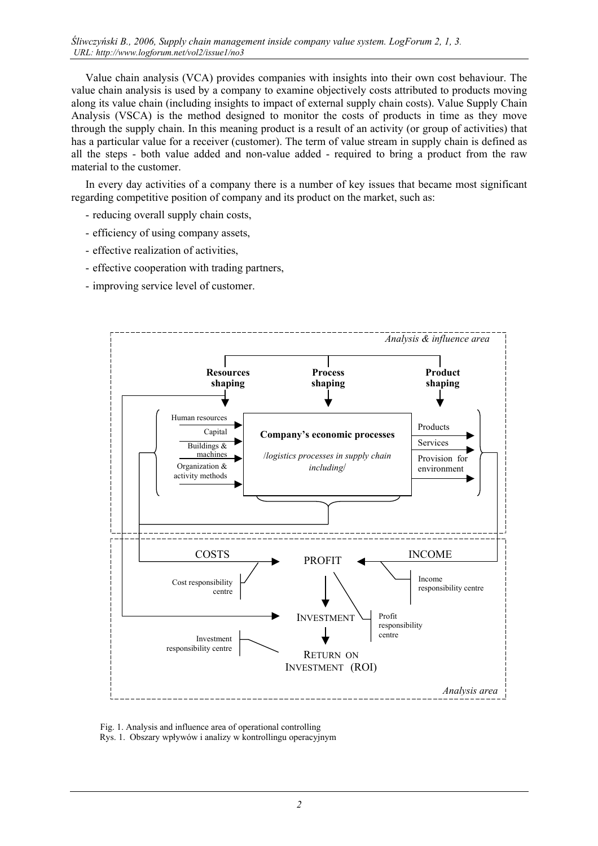Value chain analysis (VCA) provides companies with insights into their own cost behaviour. The value chain analysis is used by a company to examine objectively costs attributed to products moving along its value chain (including insights to impact of external supply chain costs). Value Supply Chain Analysis (VSCA) is the method designed to monitor the costs of products in time as they move through the supply chain. In this meaning product is a result of an activity (or group of activities) that has a particular value for a receiver (customer). The term of value stream in supply chain is defined as all the steps - both value added and non-value added - required to bring a product from the raw material to the customer.

In every day activities of a company there is a number of key issues that became most significant regarding competitive position of company and its product on the market, such as:

- reducing overall supply chain costs,
- efficiency of using company assets,
- effective realization of activities,
- effective cooperation with trading partners,
- improving service level of customer.



 Fig. 1. Analysis and influence area of operational controlling Rys. 1. Obszary wpływów i analizy w kontrollingu operacyjnym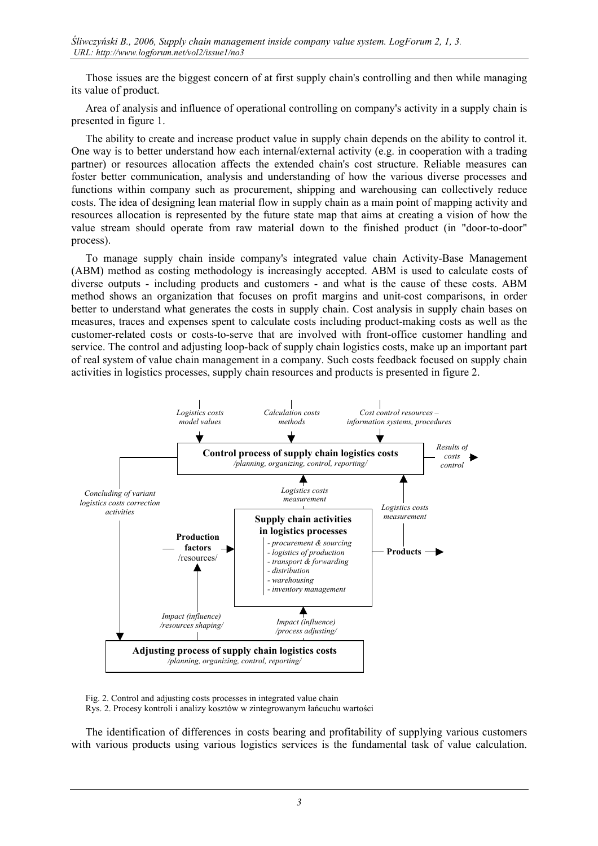Those issues are the biggest concern of at first supply chain's controlling and then while managing its value of product.

Area of analysis and influence of operational controlling on company's activity in a supply chain is presented in figure 1.

The ability to create and increase product value in supply chain depends on the ability to control it. One way is to better understand how each internal/external activity (e.g. in cooperation with a trading partner) or resources allocation affects the extended chain's cost structure. Reliable measures can foster better communication, analysis and understanding of how the various diverse processes and functions within company such as procurement, shipping and warehousing can collectively reduce costs. The idea of designing lean material flow in supply chain as a main point of mapping activity and resources allocation is represented by the future state map that aims at creating a vision of how the value stream should operate from raw material down to the finished product (in "door-to-door" process).

To manage supply chain inside company's integrated value chain Activity-Base Management (ABM) method as costing methodology is increasingly accepted. ABM is used to calculate costs of diverse outputs - including products and customers - and what is the cause of these costs. ABM method shows an organization that focuses on profit margins and unit-cost comparisons, in order better to understand what generates the costs in supply chain. Cost analysis in supply chain bases on measures, traces and expenses spent to calculate costs including product-making costs as well as the customer-related costs or costs-to-serve that are involved with front-office customer handling and service. The control and adjusting loop-back of supply chain logistics costs, make up an important part of real system of value chain management in a company. Such costs feedback focused on supply chain activities in logistics processes, supply chain resources and products is presented in figure 2.



Fig. 2. Control and adjusting costs processes in integrated value chain Rys. 2. Procesy kontroli i analizy kosztów w zintegrowanym łańcuchu wartości

The identification of differences in costs bearing and profitability of supplying various customers with various products using various logistics services is the fundamental task of value calculation.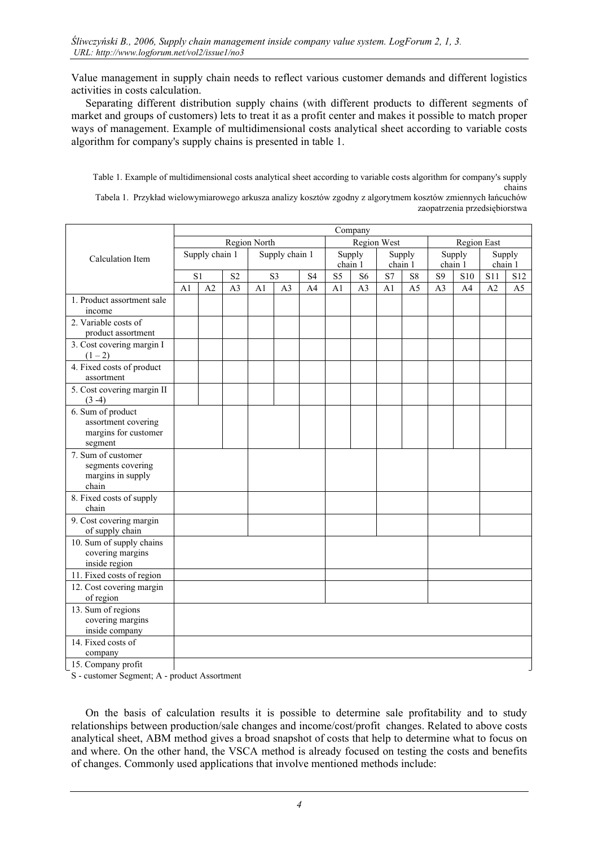Value management in supply chain needs to reflect various customer demands and different logistics activities in costs calculation.

Separating different distribution supply chains (with different products to different segments of market and groups of customers) lets to treat it as a profit center and makes it possible to match proper ways of management. Example of multidimensional costs analytical sheet according to variable costs algorithm for company's supply chains is presented in table 1.

Table 1. Example of multidimensional costs analytical sheet according to variable costs algorithm for company's supply chains

Tabela 1. Przykład wielowymiarowego arkusza analizy kosztów zgodny z algorytmem kosztów zmiennych łańcuchów zaopatrzenia przedsiębiorstwa

|                                                                             | Company        |                |                |                |                |                |                |                |         |                |                |     |                |                |
|-----------------------------------------------------------------------------|----------------|----------------|----------------|----------------|----------------|----------------|----------------|----------------|---------|----------------|----------------|-----|----------------|----------------|
| Calculation Item                                                            | Region North   |                |                |                |                |                | Region West    |                |         |                | Region East    |     |                |                |
|                                                                             | Supply chain 1 |                |                | Supply chain 1 |                |                | Supply         |                | Supply  |                | Supply         |     | Supply         |                |
|                                                                             |                |                |                |                |                |                | chain 1        |                | chain 1 |                | chain 1        |     | chain 1        |                |
|                                                                             | S <sub>1</sub> |                | S <sub>2</sub> | S <sub>3</sub> |                | S <sub>4</sub> | S <sub>5</sub> | S <sub>6</sub> | S7      | S8             | S <sub>9</sub> | S10 | <b>S11</b>     | S12            |
|                                                                             | A <sub>1</sub> | A <sub>2</sub> | A <sub>3</sub> | A <sub>1</sub> | A <sub>3</sub> | A <sub>4</sub> | A <sub>1</sub> | A <sub>3</sub> | A1      | A <sub>5</sub> | A <sub>3</sub> | A4  | A <sub>2</sub> | A <sub>5</sub> |
| 1. Product assortment sale<br>income                                        |                |                |                |                |                |                |                |                |         |                |                |     |                |                |
| 2. Variable costs of<br>product assortment                                  |                |                |                |                |                |                |                |                |         |                |                |     |                |                |
| 3. Cost covering margin I<br>$(1-2)$                                        |                |                |                |                |                |                |                |                |         |                |                |     |                |                |
| 4. Fixed costs of product<br>assortment                                     |                |                |                |                |                |                |                |                |         |                |                |     |                |                |
| 5. Cost covering margin II<br>$(3-4)$                                       |                |                |                |                |                |                |                |                |         |                |                |     |                |                |
| 6. Sum of product<br>assortment covering<br>margins for customer<br>segment |                |                |                |                |                |                |                |                |         |                |                |     |                |                |
| 7. Sum of customer<br>segments covering<br>margins in supply<br>chain       |                |                |                |                |                |                |                |                |         |                |                |     |                |                |
| 8. Fixed costs of supply<br>chain                                           |                |                |                |                |                |                |                |                |         |                |                |     |                |                |
| 9. Cost covering margin<br>of supply chain                                  |                |                |                |                |                |                |                |                |         |                |                |     |                |                |
| 10. Sum of supply chains<br>covering margins<br>inside region               |                |                |                |                |                |                |                |                |         |                |                |     |                |                |
| 11. Fixed costs of region                                                   |                |                |                |                |                |                |                |                |         |                |                |     |                |                |
| 12. Cost covering margin<br>of region                                       |                |                |                |                |                |                |                |                |         |                |                |     |                |                |
| 13. Sum of regions<br>covering margins<br>inside company                    |                |                |                |                |                |                |                |                |         |                |                |     |                |                |
| 14. Fixed costs of<br>company                                               |                |                |                |                |                |                |                |                |         |                |                |     |                |                |
| 15. Company profit                                                          |                |                |                |                |                |                |                |                |         |                |                |     |                |                |

S - customer Segment; A - product Assortment

On the basis of calculation results it is possible to determine sale profitability and to study relationships between production/sale changes and income/cost/profit changes. Related to above costs analytical sheet, ABM method gives a broad snapshot of costs that help to determine what to focus on and where. On the other hand, the VSCA method is already focused on testing the costs and benefits of changes. Commonly used applications that involve mentioned methods include: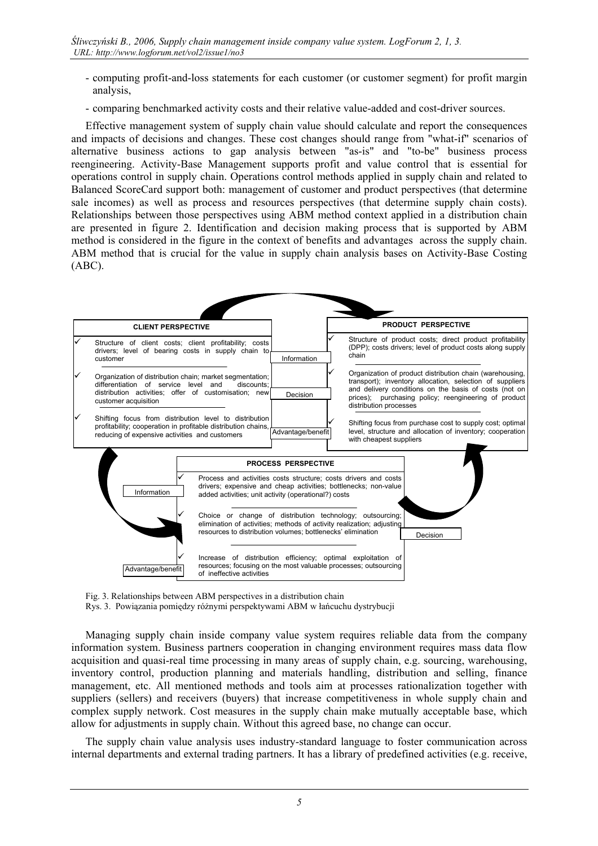- computing profit-and-loss statements for each customer (or customer segment) for profit margin analysis,
- comparing benchmarked activity costs and their relative value-added and cost-driver sources.

Effective management system of supply chain value should calculate and report the consequences and impacts of decisions and changes. These cost changes should range from "what-if" scenarios of alternative business actions to gap analysis between "as-is" and "to-be" business process reengineering. Activity-Base Management supports profit and value control that is essential for operations control in supply chain. Operations control methods applied in supply chain and related to Balanced ScoreCard support both: management of customer and product perspectives (that determine sale incomes) as well as process and resources perspectives (that determine supply chain costs). Relationships between those perspectives using ABM method context applied in a distribution chain are presented in figure 2. Identification and decision making process that is supported by ABM method is considered in the figure in the context of benefits and advantages across the supply chain. ABM method that is crucial for the value in supply chain analysis bases on Activity-Base Costing (ABC).



Fig. 3. Relationships between ABM perspectives in a distribution chain

Rys. 3. Powiązania pomiędzy różnymi perspektywami ABM w łańcuchu dystrybucji

Managing supply chain inside company value system requires reliable data from the company information system. Business partners cooperation in changing environment requires mass data flow acquisition and quasi-real time processing in many areas of supply chain, e.g. sourcing, warehousing, inventory control, production planning and materials handling, distribution and selling, finance management, etc. All mentioned methods and tools aim at processes rationalization together with suppliers (sellers) and receivers (buyers) that increase competitiveness in whole supply chain and complex supply network. Cost measures in the supply chain make mutually acceptable base, which allow for adjustments in supply chain. Without this agreed base, no change can occur.

The supply chain value analysis uses industry-standard language to foster communication across internal departments and external trading partners. It has a library of predefined activities (e.g. receive,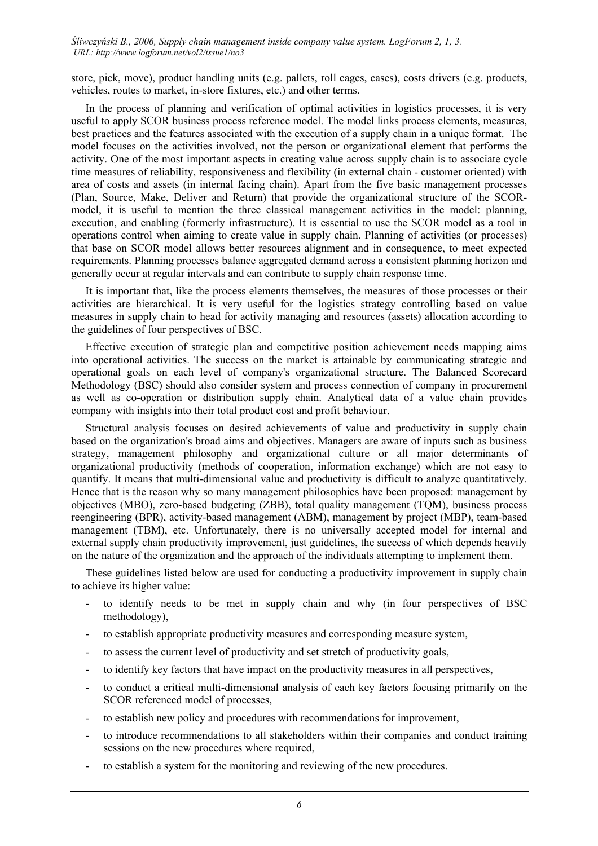store, pick, move), product handling units (e.g. pallets, roll cages, cases), costs drivers (e.g. products, vehicles, routes to market, in-store fixtures, etc.) and other terms.

In the process of planning and verification of optimal activities in logistics processes, it is very useful to apply SCOR business process reference model. The model links process elements, measures, best practices and the features associated with the execution of a supply chain in a unique format. The model focuses on the activities involved, not the person or organizational element that performs the activity. One of the most important aspects in creating value across supply chain is to associate cycle time measures of reliability, responsiveness and flexibility (in external chain - customer oriented) with area of costs and assets (in internal facing chain). Apart from the five basic management processes (Plan, Source, Make, Deliver and Return) that provide the organizational structure of the SCORmodel, it is useful to mention the three classical management activities in the model: planning, execution, and enabling (formerly infrastructure). It is essential to use the SCOR model as a tool in operations control when aiming to create value in supply chain. Planning of activities (or processes) that base on SCOR model allows better resources alignment and in consequence, to meet expected requirements. Planning processes balance aggregated demand across a consistent planning horizon and generally occur at regular intervals and can contribute to supply chain response time.

It is important that, like the process elements themselves, the measures of those processes or their activities are hierarchical. It is very useful for the logistics strategy controlling based on value measures in supply chain to head for activity managing and resources (assets) allocation according to the guidelines of four perspectives of BSC.

Effective execution of strategic plan and competitive position achievement needs mapping aims into operational activities. The success on the market is attainable by communicating strategic and operational goals on each level of company's organizational structure. The Balanced Scorecard Methodology (BSC) should also consider system and process connection of company in procurement as well as co-operation or distribution supply chain. Analytical data of a value chain provides company with insights into their total product cost and profit behaviour.

Structural analysis focuses on desired achievements of value and productivity in supply chain based on the organization's broad aims and objectives. Managers are aware of inputs such as business strategy, management philosophy and organizational culture or all major determinants of organizational productivity (methods of cooperation, information exchange) which are not easy to quantify. It means that multi-dimensional value and productivity is difficult to analyze quantitatively. Hence that is the reason why so many management philosophies have been proposed: management by objectives (MBO), zero-based budgeting (ZBB), total quality management (TQM), business process reengineering (BPR), activity-based management (ABM), management by project (MBP), team-based management (TBM), etc. Unfortunately, there is no universally accepted model for internal and external supply chain productivity improvement, just guidelines, the success of which depends heavily on the nature of the organization and the approach of the individuals attempting to implement them.

These guidelines listed below are used for conducting a productivity improvement in supply chain to achieve its higher value:

- to identify needs to be met in supply chain and why (in four perspectives of BSC methodology),
- to establish appropriate productivity measures and corresponding measure system,
- to assess the current level of productivity and set stretch of productivity goals,
- to identify key factors that have impact on the productivity measures in all perspectives,
- to conduct a critical multi-dimensional analysis of each key factors focusing primarily on the SCOR referenced model of processes,
- to establish new policy and procedures with recommendations for improvement,
- to introduce recommendations to all stakeholders within their companies and conduct training sessions on the new procedures where required,
- to establish a system for the monitoring and reviewing of the new procedures.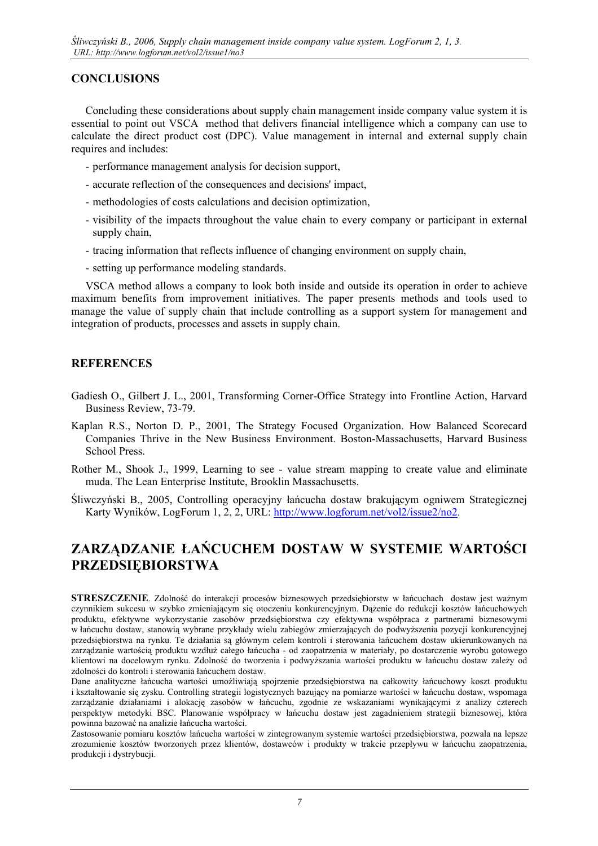### **CONCLUSIONS**

Concluding these considerations about supply chain management inside company value system it is essential to point out VSCA method that delivers financial intelligence which a company can use to calculate the direct product cost (DPC). Value management in internal and external supply chain requires and includes:

- performance management analysis for decision support,
- accurate reflection of the consequences and decisions' impact,
- methodologies of costs calculations and decision optimization,
- visibility of the impacts throughout the value chain to every company or participant in external supply chain,
- tracing information that reflects influence of changing environment on supply chain,
- setting up performance modeling standards.

VSCA method allows a company to look both inside and outside its operation in order to achieve maximum benefits from improvement initiatives. The paper presents methods and tools used to manage the value of supply chain that include controlling as a support system for management and integration of products, processes and assets in supply chain.

#### **REFERENCES**

- Gadiesh O., Gilbert J. L., 2001, Transforming Corner-Office Strategy into Frontline Action, Harvard Business Review, 73-79.
- Kaplan R.S., Norton D. P., 2001, The Strategy Focused Organization. How Balanced Scorecard Companies Thrive in the New Business Environment. Boston-Massachusetts, Harvard Business School Press.
- Rother M., Shook J., 1999, Learning to see value stream mapping to create value and eliminate muda. The Lean Enterprise Institute, Brooklin Massachusetts.
- Śliwczyński B., 2005, Controlling operacyjny łańcucha dostaw brakującym ogniwem Strategicznej Karty Wyników, LogForum 1, 2, 2, URL:<http://www.logforum.net/vol2/issue2/no2>.

# **ZARZĄDZANIE ŁAŃCUCHEM DOSTAW W SYSTEMIE WARTOŚCI PRZEDSIĘBIORSTWA**

**STRESZCZENIE**. Zdolność do interakcji procesów biznesowych przedsiębiorstw w łańcuchach dostaw jest ważnym czynnikiem sukcesu w szybko zmieniającym się otoczeniu konkurencyjnym. Dążenie do redukcji kosztów łańcuchowych produktu, efektywne wykorzystanie zasobów przedsiębiorstwa czy efektywna współpraca z partnerami biznesowymi w łańcuchu dostaw, stanowią wybrane przykłady wielu zabiegów zmierzających do podwyższenia pozycji konkurencyjnej przedsiębiorstwa na rynku. Te działania są głównym celem kontroli i sterowania łańcuchem dostaw ukierunkowanych na zarządzanie wartością produktu wzdłuż całego łańcucha - od zaopatrzenia w materiały, po dostarczenie wyrobu gotowego klientowi na docelowym rynku. Zdolność do tworzenia i podwyższania wartości produktu w łańcuchu dostaw zależy od zdolności do kontroli i sterowania łańcuchem dostaw.

Dane analityczne łańcucha wartości umożliwiają spojrzenie przedsiębiorstwa na całkowity łańcuchowy koszt produktu i kształtowanie się zysku. Controlling strategii logistycznych bazujący na pomiarze wartości w łańcuchu dostaw, wspomaga zarządzanie działaniami i alokację zasobów w łańcuchu, zgodnie ze wskazaniami wynikającymi z analizy czterech perspektyw metodyki BSC. Planowanie współpracy w łańcuchu dostaw jest zagadnieniem strategii biznesowej, która powinna bazować na analizie łańcucha wartości.

Zastosowanie pomiaru kosztów łańcucha wartości w zintegrowanym systemie wartości przedsiębiorstwa, pozwala na lepsze zrozumienie kosztów tworzonych przez klientów, dostawców i produkty w trakcie przepływu w łańcuchu zaopatrzenia, produkcji i dystrybucji.